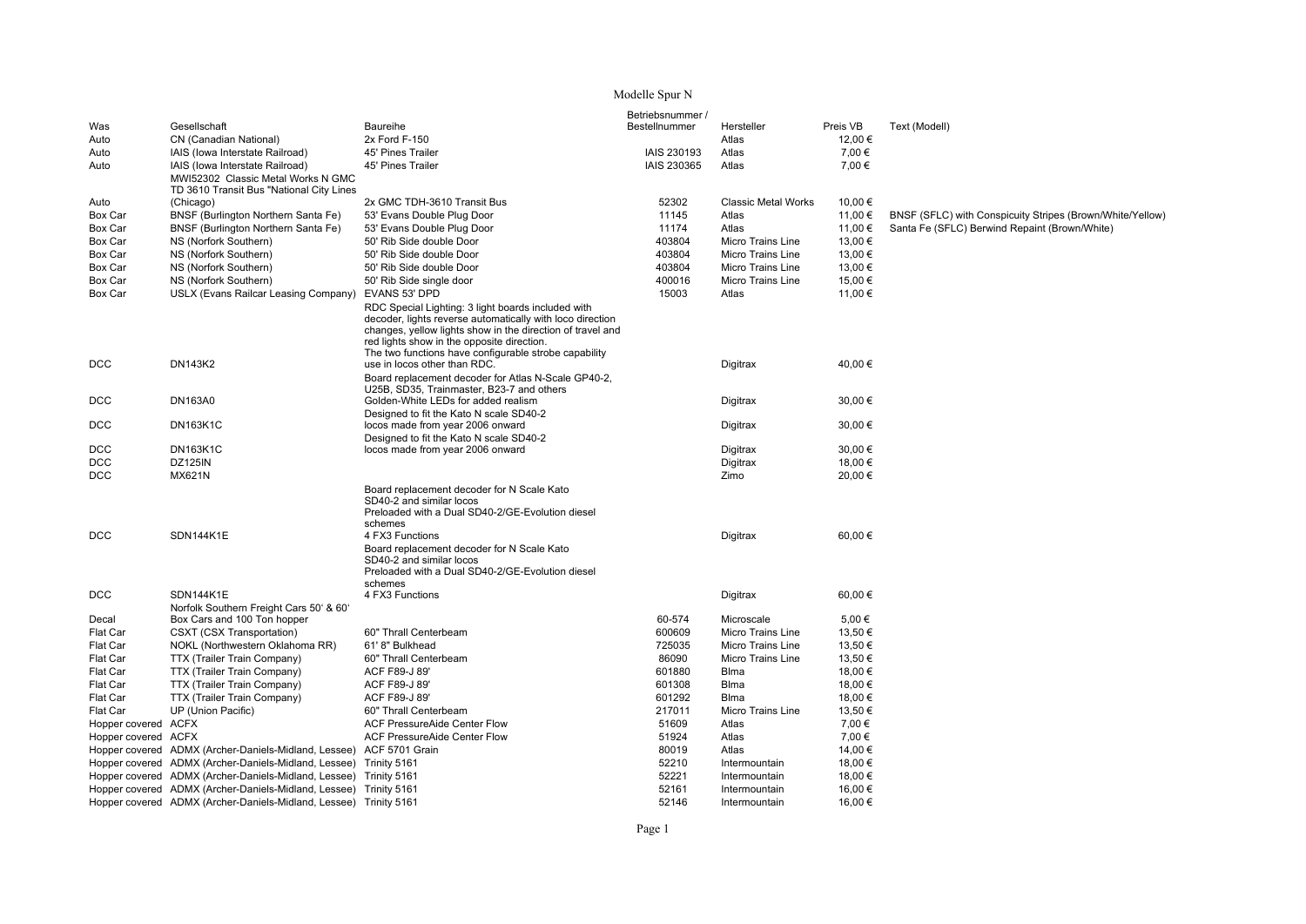## Modelle Spur N

|                     |                                                                     |                                                                                                                                                                                                                                                                                                   | Betriebsnummer / |                            |          |                                                           |
|---------------------|---------------------------------------------------------------------|---------------------------------------------------------------------------------------------------------------------------------------------------------------------------------------------------------------------------------------------------------------------------------------------------|------------------|----------------------------|----------|-----------------------------------------------------------|
| Was                 | Gesellschaft                                                        | Baureihe                                                                                                                                                                                                                                                                                          | Bestellnummer    | Hersteller                 | Preis VB | Text (Modell)                                             |
| Auto                | CN (Canadian National)                                              | 2x Ford F-150                                                                                                                                                                                                                                                                                     |                  | Atlas                      | 12,00 €  |                                                           |
| Auto                | IAIS (lowa Interstate Railroad)                                     | 45' Pines Trailer                                                                                                                                                                                                                                                                                 | IAIS 230193      | Atlas                      | 7,00 €   |                                                           |
| Auto                | IAIS (lowa Interstate Railroad)                                     | 45' Pines Trailer                                                                                                                                                                                                                                                                                 | IAIS 230365      | Atlas                      | 7,00 €   |                                                           |
|                     | MWI52302 Classic Metal Works N GMC                                  |                                                                                                                                                                                                                                                                                                   |                  |                            |          |                                                           |
|                     | TD 3610 Transit Bus "National City Lines                            |                                                                                                                                                                                                                                                                                                   |                  |                            |          |                                                           |
| Auto                | (Chicago)                                                           | 2x GMC TDH-3610 Transit Bus                                                                                                                                                                                                                                                                       | 52302            | <b>Classic Metal Works</b> | 10,00 €  |                                                           |
| Box Car             | BNSF (Burlington Northern Santa Fe)                                 | 53' Evans Double Plug Door                                                                                                                                                                                                                                                                        | 11145            | Atlas                      | 11,00 €  | BNSF (SFLC) with Conspicuity Stripes (Brown/White/Yellow) |
| Box Car             | BNSF (Burlington Northern Santa Fe)                                 | 53' Evans Double Plug Door                                                                                                                                                                                                                                                                        | 11174            | Atlas                      | 11,00 €  | Santa Fe (SFLC) Berwind Repaint (Brown/White)             |
| Box Car             | NS (Norfork Southern)                                               | 50' Rib Side double Door                                                                                                                                                                                                                                                                          | 403804           | Micro Trains Line          | 13,00 €  |                                                           |
| Box Car             | NS (Norfork Southern)                                               | 50' Rib Side double Door                                                                                                                                                                                                                                                                          | 403804           | Micro Trains Line          | 13.00 €  |                                                           |
| Box Car             | NS (Norfork Southern)                                               | 50' Rib Side double Door                                                                                                                                                                                                                                                                          | 403804           | <b>Micro Trains Line</b>   | 13,00 €  |                                                           |
| Box Car             | NS (Norfork Southern)                                               | 50' Rib Side single door                                                                                                                                                                                                                                                                          | 400016           | <b>Micro Trains Line</b>   | 15,00 €  |                                                           |
| Box Car             | USLX (Evans Railcar Leasing Company)                                | EVANS 53' DPD                                                                                                                                                                                                                                                                                     | 15003            | Atlas                      | 11,00 €  |                                                           |
|                     |                                                                     | RDC Special Lighting: 3 light boards included with<br>decoder, lights reverse automatically with loco direction<br>changes, yellow lights show in the direction of travel and<br>red lights show in the opposite direction.<br>The two functions have configurable strobe capability              |                  |                            |          |                                                           |
| DCC                 | <b>DN143K2</b>                                                      | use in locos other than RDC.                                                                                                                                                                                                                                                                      |                  | Digitrax                   | 40,00 €  |                                                           |
|                     |                                                                     | Board replacement decoder for Atlas N-Scale GP40-2,<br>U25B, SD35, Trainmaster, B23-7 and others                                                                                                                                                                                                  |                  |                            |          |                                                           |
| DCC                 | <b>DN163A0</b>                                                      | Golden-White LEDs for added realism                                                                                                                                                                                                                                                               |                  | Digitrax                   | 30,00 €  |                                                           |
|                     |                                                                     | Designed to fit the Kato N scale SD40-2                                                                                                                                                                                                                                                           |                  |                            |          |                                                           |
| DCC                 | <b>DN163K1C</b>                                                     | locos made from year 2006 onward                                                                                                                                                                                                                                                                  |                  | Digitrax                   | 30.00 €  |                                                           |
|                     |                                                                     | Designed to fit the Kato N scale SD40-2                                                                                                                                                                                                                                                           |                  |                            |          |                                                           |
| <b>DCC</b>          | <b>DN163K1C</b>                                                     | locos made from year 2006 onward                                                                                                                                                                                                                                                                  |                  | <b>Digitrax</b>            | 30.00 €  |                                                           |
| DCC                 | <b>DZ125IN</b>                                                      |                                                                                                                                                                                                                                                                                                   |                  | Digitrax                   | 18,00 €  |                                                           |
| DCC                 | MX621N                                                              |                                                                                                                                                                                                                                                                                                   |                  | Zimo                       | 20,00 €  |                                                           |
| DCC                 | SDN144K1E                                                           | Board replacement decoder for N Scale Kato<br>SD40-2 and similar locos<br>Preloaded with a Dual SD40-2/GE-Evolution diesel<br>schemes<br>4 FX3 Functions<br>Board replacement decoder for N Scale Kato<br>SD40-2 and similar locos<br>Preloaded with a Dual SD40-2/GE-Evolution diesel<br>schemes |                  | Digitrax                   | 60,00€   |                                                           |
| DCC                 | SDN144K1E                                                           | 4 FX3 Functions                                                                                                                                                                                                                                                                                   |                  | Digitrax                   | 60,00€   |                                                           |
|                     | Norfolk Southern Freight Cars 50' & 60'                             |                                                                                                                                                                                                                                                                                                   |                  |                            |          |                                                           |
| Decal               | Box Cars and 100 Ton hopper                                         |                                                                                                                                                                                                                                                                                                   | 60-574           | Microscale                 | 5,00€    |                                                           |
| Flat Car            | CSXT (CSX Transportation)                                           | 60" Thrall Centerbeam                                                                                                                                                                                                                                                                             | 600609           | Micro Trains Line          | 13,50€   |                                                           |
| Flat Car            | NOKL (Northwestern Oklahoma RR)                                     | 61' 8" Bulkhead                                                                                                                                                                                                                                                                                   | 725035           | Micro Trains Line          | 13,50 €  |                                                           |
| Flat Car            | TTX (Trailer Train Company)                                         | 60" Thrall Centerbeam                                                                                                                                                                                                                                                                             | 86090            | Micro Trains Line          | 13,50 €  |                                                           |
| Flat Car            | TTX (Trailer Train Company)                                         | ACF F89-J 89'                                                                                                                                                                                                                                                                                     | 601880           | Blma                       | 18,00 €  |                                                           |
| Flat Car            | TTX (Trailer Train Company)                                         | ACF F89-J 89'                                                                                                                                                                                                                                                                                     | 601308           | Blma                       | 18,00 €  |                                                           |
| Flat Car            | TTX (Trailer Train Company)                                         | ACF F89-J 89'                                                                                                                                                                                                                                                                                     | 601292           | <b>Blma</b>                | 18,00 €  |                                                           |
| Flat Car            | UP (Union Pacific)                                                  | 60" Thrall Centerbeam                                                                                                                                                                                                                                                                             | 217011           | Micro Trains Line          | 13,50 €  |                                                           |
| Hopper covered ACFX |                                                                     | <b>ACF PressureAide Center Flow</b>                                                                                                                                                                                                                                                               | 51609            | Atlas                      | 7,00 €   |                                                           |
| Hopper covered ACFX |                                                                     | <b>ACF PressureAide Center Flow</b>                                                                                                                                                                                                                                                               | 51924            | Atlas                      | 7,00 €   |                                                           |
|                     | Hopper covered ADMX (Archer-Daniels-Midland, Lessee) ACF 5701 Grain |                                                                                                                                                                                                                                                                                                   | 80019            | Atlas                      | 14,00 €  |                                                           |
|                     | Hopper covered ADMX (Archer-Daniels-Midland, Lessee)                | Trinity 5161                                                                                                                                                                                                                                                                                      | 52210            | Intermountain              | 18,00€   |                                                           |
|                     | Hopper covered ADMX (Archer-Daniels-Midland, Lessee)                | Trinity 5161                                                                                                                                                                                                                                                                                      | 52221            | Intermountain              | 18,00 €  |                                                           |
|                     | Hopper covered ADMX (Archer-Daniels-Midland, Lessee) Trinity 5161   |                                                                                                                                                                                                                                                                                                   | 52161            | Intermountain              | 16,00 €  |                                                           |
|                     | Hopper covered ADMX (Archer-Daniels-Midland, Lessee) Trinity 5161   |                                                                                                                                                                                                                                                                                                   | 52146            | Intermountain              | 16.00 €  |                                                           |